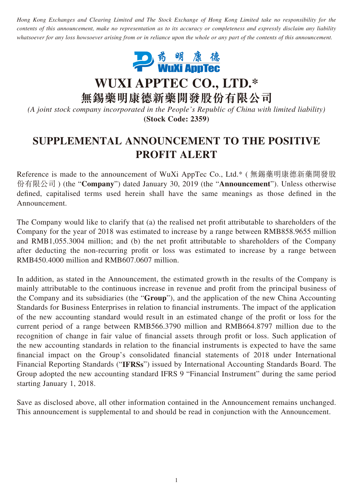*Hong Kong Exchanges and Clearing Limited and The Stock Exchange of Hong Kong Limited take no responsibility for the contents of this announcement, make no representation as to its accuracy or completeness and expressly disclaim any liability whatsoever for any loss howsoever arising from or in reliance upon the whole or any part of the contents of this announcement.*



**WUXI APPTEC CO., LTD.\***

**無錫藥明康德新藥開發股份有限公司**

*(A joint stock company incorporated in the People's Republic of China with limited liability)* **(Stock Code: 2359)**

## **SUPPLEMENTAL ANNOUNCEMENT TO THE POSITIVE PROFIT ALERT**

Reference is made to the announcement of WuXi AppTec Co., Ltd.\* ( 無錫藥明康德新藥開發股 份有限公司 ) (the "**Company**") dated January 30, 2019 (the "**Announcement**"). Unless otherwise defined, capitalised terms used herein shall have the same meanings as those defined in the Announcement.

The Company would like to clarify that (a) the realised net profit attributable to shareholders of the Company for the year of 2018 was estimated to increase by a range between RMB858.9655 million and RMB1,055.3004 million; and (b) the net profit attributable to shareholders of the Company after deducting the non-recurring profit or loss was estimated to increase by a range between RMB450.4000 million and RMB607.0607 million.

In addition, as stated in the Announcement, the estimated growth in the results of the Company is mainly attributable to the continuous increase in revenue and profit from the principal business of the Company and its subsidiaries (the "**Group**"), and the application of the new China Accounting Standards for Business Enterprises in relation to financial instruments. The impact of the application of the new accounting standard would result in an estimated change of the profit or loss for the current period of a range between RMB566.3790 million and RMB664.8797 million due to the recognition of change in fair value of financial assets through profit or loss. Such application of the new accounting standards in relation to the financial instruments is expected to have the same financial impact on the Group's consolidated financial statements of 2018 under International Financial Reporting Standards ("**IFRSs**") issued by International Accounting Standards Board. The Group adopted the new accounting standard IFRS 9 "Financial Instrument" during the same period starting January 1, 2018.

Save as disclosed above, all other information contained in the Announcement remains unchanged. This announcement is supplemental to and should be read in conjunction with the Announcement.